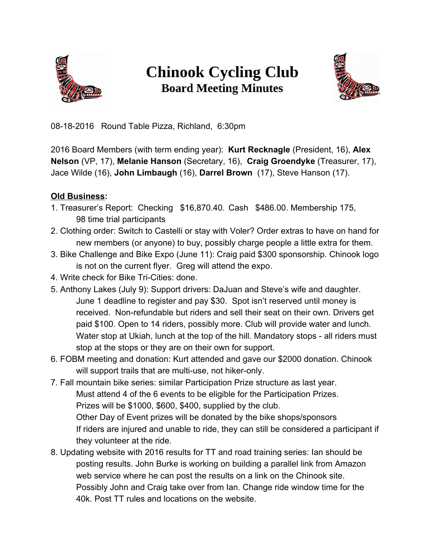

## **Chinook Cycling Club Board Meeting Minutes**



08-18-2016 Round Table Pizza, Richland, 6:30pm

2016 Board Members (with term ending year): **Kurt Recknagle** (President, 16), **Alex Nelson** (VP, 17), **Melanie Hanson** (Secretary, 16), **Craig Groendyke** (Treasurer, 17), Jace Wilde (16), **John Limbaugh** (16), **Darrel Brown** (17), Steve Hanson (17).

## **Old Business:**

- 1. Treasurer's Report: Checking \$16,870.40. Cash \$486.00. Membership 175, 98 time trial participants
- 2. Clothing order: Switch to Castelli or stay with Voler? Order extras to have on hand for new members (or anyone) to buy, possibly charge people a little extra for them.
- 3. Bike Challenge and Bike Expo (June 11): Craig paid \$300 sponsorship. Chinook logo is not on the current flyer. Greg will attend the expo.
- 4. Write check for Bike Tri-Cities: done.
- 5. Anthony Lakes (July 9): Support drivers: DaJuan and Steve's wife and daughter. June 1 deadline to register and pay \$30. Spot isn't reserved until money is received. Non-refundable but riders and sell their seat on their own. Drivers get paid \$100. Open to 14 riders, possibly more. Club will provide water and lunch. Water stop at Ukiah, lunch at the top of the hill. Mandatory stops - all riders must stop at the stops or they are on their own for support.
- 6. FOBM meeting and donation: Kurt attended and gave our \$2000 donation. Chinook will support trails that are multi-use, not hiker-only.
- 7. Fall mountain bike series: similar Participation Prize structure as last year. Must attend 4 of the 6 events to be eligible for the Participation Prizes. Prizes will be \$1000, \$600, \$400, supplied by the club. Other Day of Event prizes will be donated by the bike shops/sponsors If riders are injured and unable to ride, they can still be considered a participant if they volunteer at the ride.
- 8. Updating website with 2016 results for TT and road training series: Ian should be posting results. John Burke is working on building a parallel link from Amazon web service where he can post the results on a link on the Chinook site. Possibly John and Craig take over from Ian. Change ride window time for the 40k. Post TT rules and locations on the website.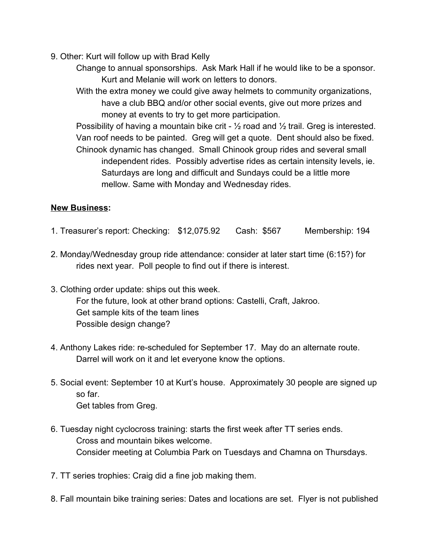- 9. Other: Kurt will follow up with Brad Kelly
	- Change to annual sponsorships. Ask Mark Hall if he would like to be a sponsor. Kurt and Melanie will work on letters to donors.

With the extra money we could give away helmets to community organizations, have a club BBQ and/or other social events, give out more prizes and money at events to try to get more participation.

Possibility of having a mountain bike crit -  $\frac{1}{2}$  road and  $\frac{1}{2}$  trail. Greg is interested. Van roof needs to be painted. Greg will get a quote. Dent should also be fixed. Chinook dynamic has changed. Small Chinook group rides and several small independent rides. Possibly advertise rides as certain intensity levels, ie. Saturdays are long and difficult and Sundays could be a little more mellow. Same with Monday and Wednesday rides.

## **New Business:**

- 1. Treasurer's report: Checking: \$12,075.92 Cash: \$567 Membership: 194
- 2. Monday/Wednesday group ride attendance: consider at later start time (6:15?) for rides next year. Poll people to find out if there is interest.
- 3. Clothing order update: ships out this week. For the future, look at other brand options: Castelli, Craft, Jakroo. Get sample kits of the team lines Possible design change?
- 4. Anthony Lakes ride: re-scheduled for September 17. May do an alternate route. Darrel will work on it and let everyone know the options.
- 5. Social event: September 10 at Kurt's house. Approximately 30 people are signed up so far. Get tables from Greg.
- 6. Tuesday night cyclocross training: starts the first week after TT series ends. Cross and mountain bikes welcome. Consider meeting at Columbia Park on Tuesdays and Chamna on Thursdays.
- 7. TT series trophies: Craig did a fine job making them.
- 8. Fall mountain bike training series: Dates and locations are set. Flyer is not published